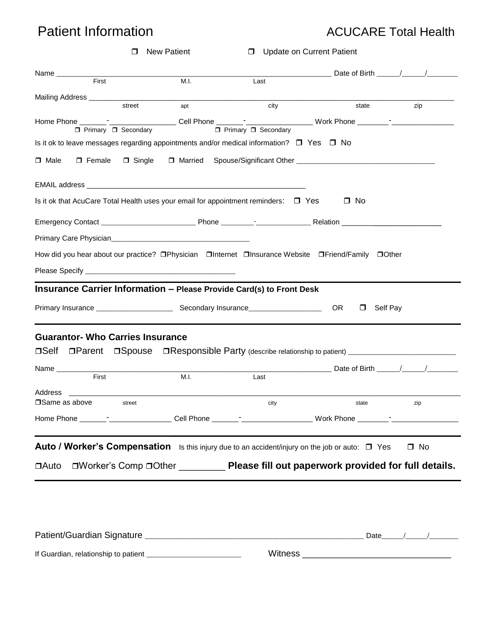# Patient Information **ACUCARE Total Health**

| $\Box$                                                                                                                | <b>New Patient</b> | D Update on Current Patient     |                                                                                          |           |
|-----------------------------------------------------------------------------------------------------------------------|--------------------|---------------------------------|------------------------------------------------------------------------------------------|-----------|
| Name ____________                                                                                                     |                    |                                 |                                                                                          |           |
| First                                                                                                                 | M.I.               | Last                            |                                                                                          |           |
|                                                                                                                       |                    |                                 |                                                                                          |           |
| street                                                                                                                | apt                | city                            | state                                                                                    | zip       |
| □ Primary □ Secondary                                                                                                 |                    | $\Box$ Primary $\Box$ Secondary |                                                                                          |           |
| Is it ok to leave messages regarding appointments and/or medical information? $\square$ Yes $\square$ No              |                    |                                 |                                                                                          |           |
|                                                                                                                       |                    |                                 |                                                                                          |           |
| $\Box$ Male                                                                                                           |                    |                                 | □ Female □ Single □ Married Spouse/Significant Other ___________________________         |           |
| EMAIL address <b>EMAIL and Research and Research and Research and Research and Research and Research and Research</b> |                    |                                 |                                                                                          |           |
| Is it ok that AcuCare Total Health uses your email for appointment reminders: $\square$ Yes                           |                    |                                 | $\Box$ No                                                                                |           |
|                                                                                                                       |                    |                                 |                                                                                          |           |
|                                                                                                                       |                    |                                 |                                                                                          |           |
| How did you hear about our practice? □Physician □Internet □Insurance Website □Friend/Family □Other                    |                    |                                 |                                                                                          |           |
|                                                                                                                       |                    |                                 |                                                                                          |           |
|                                                                                                                       |                    |                                 |                                                                                          |           |
| Insurance Carrier Information - Please Provide Card(s) to Front Desk                                                  |                    |                                 |                                                                                          |           |
|                                                                                                                       |                    |                                 | OR<br>Self Pay<br>$\Box$                                                                 |           |
| <b>Guarantor- Who Carries Insurance</b>                                                                               |                    |                                 |                                                                                          |           |
| □Self □Parent □Spouse □Responsible Party (describe relationship to patient) _______________________                   |                    |                                 |                                                                                          |           |
| Name ________________                                                                                                 |                    |                                 | Date of Birth 1 / 1                                                                      |           |
| First                                                                                                                 | M.I.               | Last                            |                                                                                          |           |
| Address                                                                                                               |                    |                                 |                                                                                          |           |
| □ Same as above<br>street                                                                                             |                    | city                            | state                                                                                    | zip       |
|                                                                                                                       |                    |                                 |                                                                                          |           |
|                                                                                                                       |                    |                                 |                                                                                          |           |
| Auto / Worker's Compensation Is this injury due to an accident/injury on the job or auto: □ Yes                       |                    |                                 |                                                                                          | $\Box$ No |
|                                                                                                                       |                    |                                 |                                                                                          |           |
| $\Box$ Auto                                                                                                           |                    |                                 | □Worker's Comp □Other _____________ Please fill out paperwork provided for full details. |           |
|                                                                                                                       |                    |                                 |                                                                                          |           |
|                                                                                                                       |                    |                                 |                                                                                          |           |
|                                                                                                                       |                    |                                 |                                                                                          |           |
|                                                                                                                       |                    |                                 |                                                                                          |           |
|                                                                                                                       |                    |                                 |                                                                                          |           |
|                                                                                                                       |                    |                                 |                                                                                          |           |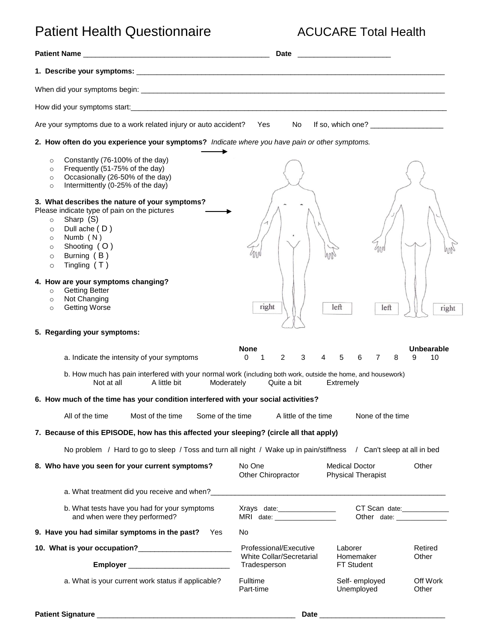# Patient Health Questionnaire **ACUCARE Total Health**

|                                                                                                                                                                                                                                                                                                                                                                                                                                                         | <b>Date</b>                                                    | <u> 1980 - Johann John Stone, markin film yn y brening yn y brening yn y brening yn y brening yn y brening yn y b</u>                                                                                                                                                                                             |                       |  |  |  |
|---------------------------------------------------------------------------------------------------------------------------------------------------------------------------------------------------------------------------------------------------------------------------------------------------------------------------------------------------------------------------------------------------------------------------------------------------------|----------------------------------------------------------------|-------------------------------------------------------------------------------------------------------------------------------------------------------------------------------------------------------------------------------------------------------------------------------------------------------------------|-----------------------|--|--|--|
|                                                                                                                                                                                                                                                                                                                                                                                                                                                         |                                                                |                                                                                                                                                                                                                                                                                                                   |                       |  |  |  |
|                                                                                                                                                                                                                                                                                                                                                                                                                                                         |                                                                |                                                                                                                                                                                                                                                                                                                   |                       |  |  |  |
|                                                                                                                                                                                                                                                                                                                                                                                                                                                         |                                                                |                                                                                                                                                                                                                                                                                                                   |                       |  |  |  |
| Are your symptoms due to a work related injury or auto accident?                                                                                                                                                                                                                                                                                                                                                                                        | Yes<br>No                                                      | If so, which one? $\frac{1}{2}$ $\frac{1}{2}$ $\frac{1}{2}$ $\frac{1}{2}$ $\frac{1}{2}$ $\frac{1}{2}$ $\frac{1}{2}$ $\frac{1}{2}$ $\frac{1}{2}$ $\frac{1}{2}$ $\frac{1}{2}$ $\frac{1}{2}$ $\frac{1}{2}$ $\frac{1}{2}$ $\frac{1}{2}$ $\frac{1}{2}$ $\frac{1}{2}$ $\frac{1}{2}$ $\frac{1}{2}$ $\frac{1}{2}$ $\frac$ |                       |  |  |  |
| 2. How often do you experience your symptoms? Indicate where you have pain or other symptoms.                                                                                                                                                                                                                                                                                                                                                           |                                                                |                                                                                                                                                                                                                                                                                                                   |                       |  |  |  |
| Constantly (76-100% of the day)<br>$\circ$<br>Frequently (51-75% of the day)<br>$\circ$<br>Occasionally (26-50% of the day)<br>$\circ$<br>Intermittently (0-25% of the day)<br>$\circ$<br>3. What describes the nature of your symptoms?<br>Please indicate type of pain on the pictures<br>Sharp (S)<br>$\circ$<br>Dull ache (D)<br>$\circ$<br>Numb $(N)$<br>$\circ$<br>Shooting (O)<br>$\circ$<br>Burning (B)<br>$\circ$<br>Tingling $(T)$<br>$\circ$ |                                                                | 400                                                                                                                                                                                                                                                                                                               |                       |  |  |  |
| 4. How are your symptoms changing?<br><b>Getting Better</b><br>$\circ$<br>Not Changing<br>$\circ$<br><b>Getting Worse</b><br>$\circ$                                                                                                                                                                                                                                                                                                                    | right                                                          | left<br>left                                                                                                                                                                                                                                                                                                      | right                 |  |  |  |
| 5. Regarding your symptoms:                                                                                                                                                                                                                                                                                                                                                                                                                             |                                                                |                                                                                                                                                                                                                                                                                                                   |                       |  |  |  |
| a. Indicate the intensity of your symptoms                                                                                                                                                                                                                                                                                                                                                                                                              | <b>None</b><br>2<br>3<br>0<br>1                                | 5<br>6<br>8<br>7                                                                                                                                                                                                                                                                                                  | Unbearable<br>10<br>9 |  |  |  |
| b. How much has pain interfered with your normal work (including both work, outside the home, and housework)<br>Not at all<br>A little bit<br>Moderately<br>Quite a bit<br>Extremely                                                                                                                                                                                                                                                                    |                                                                |                                                                                                                                                                                                                                                                                                                   |                       |  |  |  |
| 6. How much of the time has your condition interfered with your social activities?                                                                                                                                                                                                                                                                                                                                                                      |                                                                |                                                                                                                                                                                                                                                                                                                   |                       |  |  |  |
| All of the time<br>Most of the time<br>Some of the time                                                                                                                                                                                                                                                                                                                                                                                                 | A little of the time                                           | None of the time                                                                                                                                                                                                                                                                                                  |                       |  |  |  |
| 7. Because of this EPISODE, how has this affected your sleeping? (circle all that apply)                                                                                                                                                                                                                                                                                                                                                                |                                                                |                                                                                                                                                                                                                                                                                                                   |                       |  |  |  |
| No problem / Hard to go to sleep / Toss and turn all night / Wake up in pain/stiffness                                                                                                                                                                                                                                                                                                                                                                  |                                                                | / Can't sleep at all in bed                                                                                                                                                                                                                                                                                       |                       |  |  |  |
| 8. Who have you seen for your current symptoms?                                                                                                                                                                                                                                                                                                                                                                                                         | No One<br>Other Chiropractor                                   | <b>Medical Doctor</b><br><b>Physical Therapist</b>                                                                                                                                                                                                                                                                | Other                 |  |  |  |
|                                                                                                                                                                                                                                                                                                                                                                                                                                                         |                                                                |                                                                                                                                                                                                                                                                                                                   |                       |  |  |  |
| b. What tests have you had for your symptoms<br>and when were they performed?                                                                                                                                                                                                                                                                                                                                                                           | Xrays date:__________________<br>MRI date: ___________________ | CT Scan date:_____________<br>Other date: _________________                                                                                                                                                                                                                                                       |                       |  |  |  |
| 9. Have you had similar symptoms in the past? Yes                                                                                                                                                                                                                                                                                                                                                                                                       | No                                                             |                                                                                                                                                                                                                                                                                                                   |                       |  |  |  |
| 10. What is your occupation?<br><u> </u>                                                                                                                                                                                                                                                                                                                                                                                                                | Professional/Executive                                         | Laborer                                                                                                                                                                                                                                                                                                           | Retired               |  |  |  |
|                                                                                                                                                                                                                                                                                                                                                                                                                                                         | White Collar/Secretarial<br>Tradesperson                       | Homemaker<br><b>FT Student</b>                                                                                                                                                                                                                                                                                    | Other                 |  |  |  |
| a. What is your current work status if applicable?                                                                                                                                                                                                                                                                                                                                                                                                      | Fulltime<br>Part-time                                          | Self-employed<br>Unemployed                                                                                                                                                                                                                                                                                       | Off Work<br>Other     |  |  |  |
|                                                                                                                                                                                                                                                                                                                                                                                                                                                         |                                                                |                                                                                                                                                                                                                                                                                                                   |                       |  |  |  |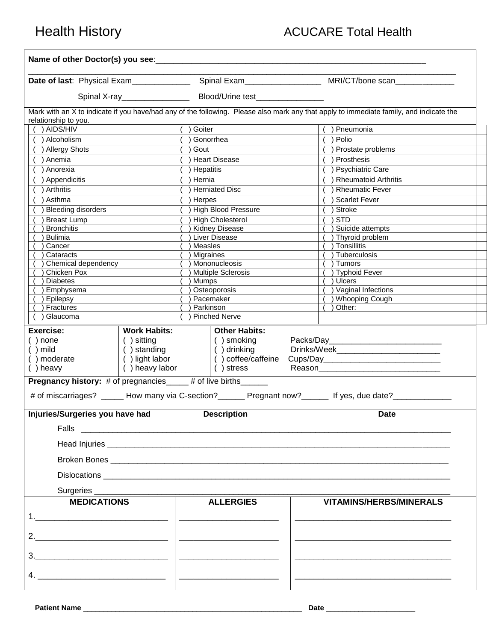| Name of other Doctor(s) you see:                                                                                                                                                |                                                                                                                                                                                                                                                                                                                                                                                                                                                                                                |                                                                                                                                                                   |  |  |  |
|---------------------------------------------------------------------------------------------------------------------------------------------------------------------------------|------------------------------------------------------------------------------------------------------------------------------------------------------------------------------------------------------------------------------------------------------------------------------------------------------------------------------------------------------------------------------------------------------------------------------------------------------------------------------------------------|-------------------------------------------------------------------------------------------------------------------------------------------------------------------|--|--|--|
|                                                                                                                                                                                 |                                                                                                                                                                                                                                                                                                                                                                                                                                                                                                |                                                                                                                                                                   |  |  |  |
|                                                                                                                                                                                 |                                                                                                                                                                                                                                                                                                                                                                                                                                                                                                |                                                                                                                                                                   |  |  |  |
|                                                                                                                                                                                 |                                                                                                                                                                                                                                                                                                                                                                                                                                                                                                | Mark with an X to indicate if you have/had any of the following. Please also mark any that apply to immediate family, and indicate the                            |  |  |  |
| relationship to you.<br>$( )$ AIDS/HIV                                                                                                                                          | () Goiter                                                                                                                                                                                                                                                                                                                                                                                                                                                                                      | () Pneumonia                                                                                                                                                      |  |  |  |
| ) Alcoholism                                                                                                                                                                    | ) Gonorrhea                                                                                                                                                                                                                                                                                                                                                                                                                                                                                    | ) Polio                                                                                                                                                           |  |  |  |
| () Allergy Shots                                                                                                                                                                | ) Gout                                                                                                                                                                                                                                                                                                                                                                                                                                                                                         | ) Prostate problems                                                                                                                                               |  |  |  |
| ) Anemia                                                                                                                                                                        | ) Heart Disease                                                                                                                                                                                                                                                                                                                                                                                                                                                                                | ) Prosthesis                                                                                                                                                      |  |  |  |
| Anorexia                                                                                                                                                                        | ) Hepatitis                                                                                                                                                                                                                                                                                                                                                                                                                                                                                    | ) Psychiatric Care                                                                                                                                                |  |  |  |
| Appendicitis                                                                                                                                                                    | ) Hernia                                                                                                                                                                                                                                                                                                                                                                                                                                                                                       | Rheumatoid Arthritis                                                                                                                                              |  |  |  |
| Arthritis                                                                                                                                                                       | ) Herniated Disc                                                                                                                                                                                                                                                                                                                                                                                                                                                                               | ) Rheumatic Fever                                                                                                                                                 |  |  |  |
| Asthma                                                                                                                                                                          | ) Herpes                                                                                                                                                                                                                                                                                                                                                                                                                                                                                       | $( )$ Scarlet Fever                                                                                                                                               |  |  |  |
| <b>Bleeding disorders</b>                                                                                                                                                       | ) High Blood Pressure                                                                                                                                                                                                                                                                                                                                                                                                                                                                          | $\overline{\phantom{a}}$ Stroke                                                                                                                                   |  |  |  |
| <b>Breast Lump</b>                                                                                                                                                              | <b>High Cholesterol</b>                                                                                                                                                                                                                                                                                                                                                                                                                                                                        | ) STD                                                                                                                                                             |  |  |  |
| <b>Bronchitis</b>                                                                                                                                                               | <b>Kidney Disease</b>                                                                                                                                                                                                                                                                                                                                                                                                                                                                          | Suicide attempts                                                                                                                                                  |  |  |  |
| <b>Bulimia</b>                                                                                                                                                                  | ) Liver Disease                                                                                                                                                                                                                                                                                                                                                                                                                                                                                | ) Thyroid problem                                                                                                                                                 |  |  |  |
| Cancer                                                                                                                                                                          | Measles                                                                                                                                                                                                                                                                                                                                                                                                                                                                                        | ) Tonsillitis                                                                                                                                                     |  |  |  |
| Cataracts                                                                                                                                                                       | <b>Migraines</b>                                                                                                                                                                                                                                                                                                                                                                                                                                                                               | ) Tuberculosis                                                                                                                                                    |  |  |  |
| Chemical dependency                                                                                                                                                             | ) Mononucleosis                                                                                                                                                                                                                                                                                                                                                                                                                                                                                | ) Tumors                                                                                                                                                          |  |  |  |
| Chicken Pox                                                                                                                                                                     | <b>Multiple Sclerosis</b>                                                                                                                                                                                                                                                                                                                                                                                                                                                                      | ) Typhoid Fever                                                                                                                                                   |  |  |  |
| <b>Diabetes</b>                                                                                                                                                                 | Mumps                                                                                                                                                                                                                                                                                                                                                                                                                                                                                          | ) Ulcers                                                                                                                                                          |  |  |  |
| Emphysema                                                                                                                                                                       | <b>Osteoporosis</b>                                                                                                                                                                                                                                                                                                                                                                                                                                                                            | ) Vaginal Infections                                                                                                                                              |  |  |  |
| Epilepsy<br>Fractures                                                                                                                                                           | ) Pacemaker<br>) Parkinson                                                                                                                                                                                                                                                                                                                                                                                                                                                                     | ) Whooping Cough<br>Other:                                                                                                                                        |  |  |  |
| () Glaucoma                                                                                                                                                                     | ( ) Pinched Nerve                                                                                                                                                                                                                                                                                                                                                                                                                                                                              |                                                                                                                                                                   |  |  |  |
| Exercise:<br><b>Work Habits:</b><br>$( )$ none<br>() sitting<br>() standing<br>$( )$ mild<br>() light labor<br>() moderate<br>() heavy                                          | <b>Other Habits:</b><br>() smoking<br>$( )$ drinking<br>() heavy labor<br>$( )$ stress                                                                                                                                                                                                                                                                                                                                                                                                         |                                                                                                                                                                   |  |  |  |
| <b>Pregnancy history:</b> # of pregnancies____# of live births______<br># of miscarriages? ______ How many via C-section?_______ Pregnant now?_______ If yes, due date?________ |                                                                                                                                                                                                                                                                                                                                                                                                                                                                                                |                                                                                                                                                                   |  |  |  |
| Injuries/Surgeries you have had                                                                                                                                                 | <b>Description</b><br><b>Date</b>                                                                                                                                                                                                                                                                                                                                                                                                                                                              |                                                                                                                                                                   |  |  |  |
|                                                                                                                                                                                 |                                                                                                                                                                                                                                                                                                                                                                                                                                                                                                |                                                                                                                                                                   |  |  |  |
|                                                                                                                                                                                 |                                                                                                                                                                                                                                                                                                                                                                                                                                                                                                |                                                                                                                                                                   |  |  |  |
|                                                                                                                                                                                 |                                                                                                                                                                                                                                                                                                                                                                                                                                                                                                |                                                                                                                                                                   |  |  |  |
|                                                                                                                                                                                 |                                                                                                                                                                                                                                                                                                                                                                                                                                                                                                |                                                                                                                                                                   |  |  |  |
| Surgeries _____________                                                                                                                                                         |                                                                                                                                                                                                                                                                                                                                                                                                                                                                                                |                                                                                                                                                                   |  |  |  |
| <b>MEDICATIONS</b>                                                                                                                                                              | <b>ALLERGIES</b>                                                                                                                                                                                                                                                                                                                                                                                                                                                                               | <b>VITAMINS/HERBS/MINERALS</b>                                                                                                                                    |  |  |  |
|                                                                                                                                                                                 | $\begin{tabular}{ll} \multicolumn{2}{c} {\textbf{1}} & \multicolumn{2}{c} {\textbf{2}} & \multicolumn{2}{c} {\textbf{3}} & \multicolumn{2}{c} {\textbf{4}} \\ \multicolumn{2}{c} {\textbf{1}} & \multicolumn{2}{c} {\textbf{1}} & \multicolumn{2}{c} {\textbf{2}} & \multicolumn{2}{c} {\textbf{3}} & \multicolumn{2}{c} {\textbf{4}} \\ \multicolumn{2}{c} {\textbf{1}} & \multicolumn{2}{c} {\textbf{1}} & \multicolumn{2}{c} {\textbf{1}} & \multicolumn{2}{c} {\textbf{1}} & \multicolumn$ |                                                                                                                                                                   |  |  |  |
| 2. $\qquad \qquad$                                                                                                                                                              | <u> 1988 - Johann John Stoff, fransk konge</u>                                                                                                                                                                                                                                                                                                                                                                                                                                                 |                                                                                                                                                                   |  |  |  |
|                                                                                                                                                                                 | <u> 1989 - Jan Sterland, amerikansk politiker (d. 1989)</u>                                                                                                                                                                                                                                                                                                                                                                                                                                    |                                                                                                                                                                   |  |  |  |
|                                                                                                                                                                                 | <u> The Communication of the Communication of the Communication of the Communication of the Communication of the Communication of the Communication of the Communication of the Communication of the Communication of the Commun</u>                                                                                                                                                                                                                                                           | <u> 1989 - Johann John Stein, markin fan de Amerikaansk kommunenter oan de Amerikaansk kommunenter oan de Amerikaansk kommunente fan de Amerikaanske foarmen.</u> |  |  |  |
|                                                                                                                                                                                 |                                                                                                                                                                                                                                                                                                                                                                                                                                                                                                |                                                                                                                                                                   |  |  |  |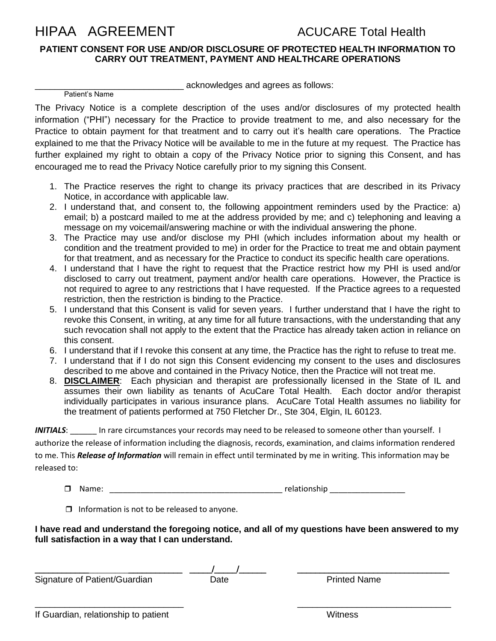# HIPAA AGREEMENT ACUCARE Total Health

## **PATIENT CONSENT FOR USE AND/OR DISCLOSURE OF PROTECTED HEALTH INFORMATION TO CARRY OUT TREATMENT, PAYMENT AND HEALTHCARE OPERATIONS**

Patient's Name

acknowledges and agrees as follows:

The Privacy Notice is a complete description of the uses and/or disclosures of my protected health information ("PHI") necessary for the Practice to provide treatment to me, and also necessary for the Practice to obtain payment for that treatment and to carry out it's health care operations. The Practice explained to me that the Privacy Notice will be available to me in the future at my request. The Practice has further explained my right to obtain a copy of the Privacy Notice prior to signing this Consent, and has encouraged me to read the Privacy Notice carefully prior to my signing this Consent.

- 1. The Practice reserves the right to change its privacy practices that are described in its Privacy Notice, in accordance with applicable law.
- 2. I understand that, and consent to, the following appointment reminders used by the Practice: a) email; b) a postcard mailed to me at the address provided by me; and c) telephoning and leaving a message on my voicemail/answering machine or with the individual answering the phone.
- 3. The Practice may use and/or disclose my PHI (which includes information about my health or condition and the treatment provided to me) in order for the Practice to treat me and obtain payment for that treatment, and as necessary for the Practice to conduct its specific health care operations.
- 4. I understand that I have the right to request that the Practice restrict how my PHI is used and/or disclosed to carry out treatment, payment and/or health care operations. However, the Practice is not required to agree to any restrictions that I have requested. If the Practice agrees to a requested restriction, then the restriction is binding to the Practice.
- 5. I understand that this Consent is valid for seven years. I further understand that I have the right to revoke this Consent, in writing, at any time for all future transactions, with the understanding that any such revocation shall not apply to the extent that the Practice has already taken action in reliance on this consent.
- 6. I understand that if I revoke this consent at any time, the Practice has the right to refuse to treat me.
- 7. I understand that if I do not sign this Consent evidencing my consent to the uses and disclosures described to me above and contained in the Privacy Notice, then the Practice will not treat me.
- 8. **DISCLAIMER**: Each physician and therapist are professionally licensed in the State of IL and assumes their own liability as tenants of AcuCare Total Health. Each doctor and/or therapist individually participates in various insurance plans. AcuCare Total Health assumes no liability for the treatment of patients performed at 750 Fletcher Dr., Ste 304, Elgin, IL 60123.

*INITIALS*: \_\_\_\_\_\_ In rare circumstances your records may need to be released to someone other than yourself. I authorize the release of information including the diagnosis, records, examination, and claims information rendered to me. This *Release of Information* will remain in effect until terminated by me in writing. This information may be released to:

- Name: \_\_\_\_\_\_\_\_\_\_\_\_\_\_\_\_\_\_\_\_\_\_\_\_\_\_\_\_\_\_\_\_\_\_\_\_\_\_\_ relationship \_\_\_\_\_\_\_\_\_\_\_\_\_\_\_\_\_
- $\Box$  Information is not to be released to anyone.

**I have read and understand the foregoing notice, and all of my questions have been answered to my full satisfaction in a way that I can understand.**

 $\overline{\phantom{a}}$  , and the contract of the contract of the contract of the contract of the contract of the contract of the contract of the contract of the contract of the contract of the contract of the contract of the contrac

Signature of Patient/Guardian Date Date Printed Name

\_\_\_\_\_\_\_\_\_\_\_\_\_\_\_\_\_\_\_\_\_\_\_\_\_\_\_\_\_\_\_\_\_ \_\_\_\_\_/\_\_\_\_\_/\_\_\_\_\_\_ \_\_\_\_\_\_\_\_\_\_\_\_\_\_\_\_\_\_\_\_\_\_\_\_\_\_\_\_\_\_\_\_\_\_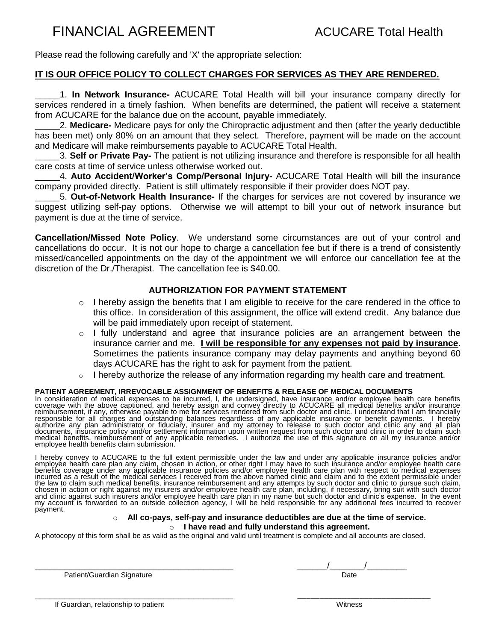# FINANCIAL AGREEMENT ACUCARE Total Health

Please read the following carefully and 'X' the appropriate selection:

## **IT IS OUR OFFICE POLICY TO COLLECT CHARGES FOR SERVICES AS THEY ARE RENDERED.**

\_\_\_\_\_1. **In Network Insurance-** ACUCARE Total Health will bill your insurance company directly for services rendered in a timely fashion. When benefits are determined, the patient will receive a statement from ACUCARE for the balance due on the account, payable immediately.

\_\_\_\_\_2. **Medicare-** Medicare pays for only the Chiropractic adjustment and then (after the yearly deductible has been met) only 80% on an amount that they select. Therefore, payment will be made on the account and Medicare will make reimbursements payable to ACUCARE Total Health.

\_\_\_\_\_3. **Self or Private Pay-** The patient is not utilizing insurance and therefore is responsible for all health care costs at time of service unless otherwise worked out.

\_\_\_\_\_4. **Auto Accident/Worker's Comp/Personal Injury-** ACUCARE Total Health will bill the insurance company provided directly. Patient is still ultimately responsible if their provider does NOT pay.

\_\_\_\_\_5. **Out-of-Network Health Insurance-** If the charges for services are not covered by insurance we suggest utilizing self-pay options. Otherwise we will attempt to bill your out of network insurance but payment is due at the time of service.

**Cancellation/Missed Note Policy**. We understand some circumstances are out of your control and cancellations do occur. It is not our hope to charge a cancellation fee but if there is a trend of consistently missed/cancelled appointments on the day of the appointment we will enforce our cancellation fee at the discretion of the Dr./Therapist. The cancellation fee is \$40.00.

### **AUTHORIZATION FOR PAYMENT STATEMENT**

- $\circ$  I hereby assign the benefits that I am eligible to receive for the care rendered in the office to this office. In consideration of this assignment, the office will extend credit. Any balance due will be paid immediately upon receipt of statement.
- $\circ$  I fully understand and agree that insurance policies are an arrangement between the insurance carrier and me. **I will be responsible for any expenses not paid by insurance**. Sometimes the patients insurance company may delay payments and anything beyond 60 days ACUCARE has the right to ask for payment from the patient.
- $\circ$  I hereby authorize the release of any information regarding my health care and treatment.

### **PATIENT AGREEMENT, IRREVOCABLE ASSIGNMENT OF BENEFITS & RELEASE OF MEDICAL DOCUMENTS**

In consideration of medical expenses to be incurred, I, the undersigned, have insurance and/or employee health care benefits<br>coverage with the above captioned, and hereby assign and convey directly to ACUCARE all medical b reimbursement, if any, otherwise payable to me for services rendered from such doctor and clinic. I understand that I am financially responsible for all charges and outstanding balances regardless of any applicable insurance or benefit payments. I hereby<br>authorize any plan administrator or fiduciary, insurer and my attorney to release to such doctor and documents, insurance policy and/or settlement information upon written request from such doctor and clinic in order to claim such medical benefits, reimbursément of any applicable remedies. I authorize the use of this signature on all my insurance and/or<br>employee health benefits claim submission.

I hereby convey to ACUCARE to the full extent permissible under the law and under any applicable insurance policies and/or<br>employee health care plan any claim, chosen in action, or other right I may have to such insurance benefits coverage under any applicable insurance policies and/or employee health care plan with respect to medical expenses incurred as a result of the medical services I received from the above named clinic and claim and to the extent permissible under<br>the law to claim such medical benefits, insurance reimbursement and any attempts by such doc chosen in action or right against my insurers and/or employee health care plan, including, if necessary, bring suit with such doctor and clinic against such insŭrers and/or employee health care plan in my name but such doctor and clinic's expense. In the event<br>my account is forwarded to an outside collection agency, I will be held responsible for any ad payment.

### o **All co-pays, self-pay and insurance deductibles are due at the time of service.**

### o **I have read and fully understand this agreement.**

A photocopy of this form shall be as valid as the original and valid until treatment is complete and all accounts are closed.

\_\_\_\_\_\_\_\_\_\_\_\_\_\_\_\_\_\_\_\_\_\_\_\_\_\_\_\_\_\_\_\_\_\_\_\_\_\_\_\_ \_\_\_\_\_\_\_\_\_\_\_\_\_\_\_\_\_\_\_\_\_\_\_\_\_\_\_\_\_\_

Patient/Guardian Signature **Date of American State of American** Date Date Date

\_\_\_\_\_\_\_\_\_\_\_\_\_\_\_\_\_\_\_\_\_\_\_\_\_\_\_\_\_\_\_\_\_\_\_\_\_\_\_\_ \_\_\_\_\_\_/\_\_\_\_\_\_\_/\_\_\_\_\_\_\_\_